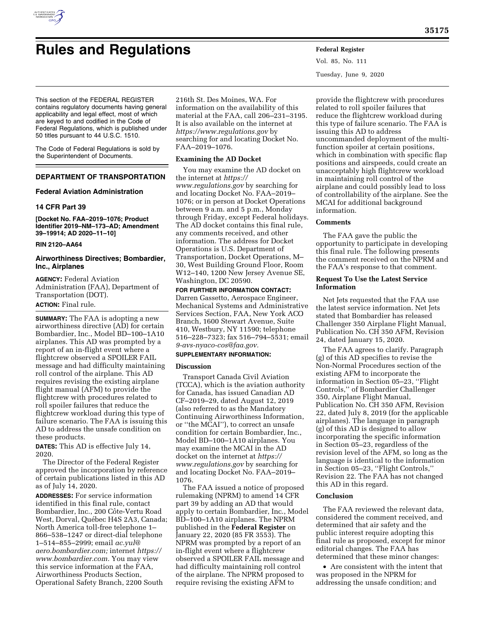

# **Rules and Regulations Federal Register**

Vol. 85, No. 111 Tuesday, June 9, 2020

This section of the FEDERAL REGISTER contains regulatory documents having general applicability and legal effect, most of which are keyed to and codified in the Code of Federal Regulations, which is published under 50 titles pursuant to 44 U.S.C. 1510.

The Code of Federal Regulations is sold by the Superintendent of Documents.

# **DEPARTMENT OF TRANSPORTATION**

# **Federal Aviation Administration**

#### **14 CFR Part 39**

**[Docket No. FAA–2019–1076; Product Identifier 2019–NM–173–AD; Amendment 39–19914; AD 2020–11–10]** 

#### **RIN 2120–AA64**

# **Airworthiness Directives; Bombardier, Inc., Airplanes**

**AGENCY:** Federal Aviation Administration (FAA), Department of Transportation (DOT). **ACTION:** Final rule.

**SUMMARY:** The FAA is adopting a new airworthiness directive (AD) for certain Bombardier, Inc., Model BD–100–1A10 airplanes. This AD was prompted by a report of an in-flight event where a flightcrew observed a SPOILER FAIL message and had difficulty maintaining roll control of the airplane. This AD requires revising the existing airplane flight manual (AFM) to provide the flightcrew with procedures related to roll spoiler failures that reduce the flightcrew workload during this type of failure scenario. The FAA is issuing this AD to address the unsafe condition on these products.

**DATES:** This AD is effective July 14, 2020.

The Director of the Federal Register approved the incorporation by reference of certain publications listed in this AD as of July 14, 2020.

**ADDRESSES:** For service information identified in this final rule, contact Bombardier, Inc., 200 Côte-Vertu Road West, Dorval, Québec H4S 2A3, Canada; North America toll-free telephone 1– 866–538–1247 or direct-dial telephone 1–514–855–2999; email *[ac.yul@](mailto:ac.yul@aero.bombardier.com) [aero.bombardier.com;](mailto:ac.yul@aero.bombardier.com)* internet *[https://](https://www.bombardier.com) [www.bombardier.com.](https://www.bombardier.com)* You may view this service information at the FAA, Airworthiness Products Section, Operational Safety Branch, 2200 South

216th St. Des Moines, WA. For information on the availability of this material at the FAA, call 206–231–3195. It is also available on the internet at *<https://www.regulations.gov>* by searching for and locating Docket No. FAA–2019–1076.

## **Examining the AD Docket**

You may examine the AD docket on the internet at *[https://](https://www.regulations.gov) [www.regulations.gov](https://www.regulations.gov)* by searching for and locating Docket No. FAA–2019– 1076; or in person at Docket Operations between 9 a.m. and 5 p.m., Monday through Friday, except Federal holidays. The AD docket contains this final rule, any comments received, and other information. The address for Docket Operations is U.S. Department of Transportation, Docket Operations, M– 30, West Building Ground Floor, Room W12–140, 1200 New Jersey Avenue SE, Washington, DC 20590.

#### **FOR FURTHER INFORMATION CONTACT:**

Darren Gassetto, Aerospace Engineer, Mechanical Systems and Administrative Services Section, FAA, New York ACO Branch, 1600 Stewart Avenue, Suite 410, Westbury, NY 11590; telephone 516–228–7323; fax 516–794–5531; email *[9-avs-nyaco-cos@faa.gov.](mailto:9-avs-nyaco-cos@faa.gov)* 

# **SUPPLEMENTARY INFORMATION:**

#### **Discussion**

Transport Canada Civil Aviation (TCCA), which is the aviation authority for Canada, has issued Canadian AD CF–2019–29, dated August 12, 2019 (also referred to as the Mandatory Continuing Airworthiness Information, or ''the MCAI''), to correct an unsafe condition for certain Bombardier, Inc., Model BD–100–1A10 airplanes. You may examine the MCAI in the AD docket on the internet at *[https://](https://www.regulations.gov) [www.regulations.gov](https://www.regulations.gov)* by searching for and locating Docket No. FAA–2019– 1076.

The FAA issued a notice of proposed rulemaking (NPRM) to amend 14 CFR part 39 by adding an AD that would apply to certain Bombardier, Inc., Model BD–100–1A10 airplanes. The NPRM published in the **Federal Register** on January 22, 2020 (85 FR 3553). The NPRM was prompted by a report of an in-flight event where a flightcrew observed a SPOILER FAIL message and had difficulty maintaining roll control of the airplane. The NPRM proposed to require revising the existing AFM to

provide the flightcrew with procedures related to roll spoiler failures that reduce the flightcrew workload during this type of failure scenario. The FAA is issuing this AD to address uncommanded deployment of the multifunction spoiler at certain positions, which in combination with specific flap positions and airspeeds, could create an unacceptably high flightcrew workload in maintaining roll control of the airplane and could possibly lead to loss of controllability of the airplane. See the MCAI for additional background information.

#### **Comments**

The FAA gave the public the opportunity to participate in developing this final rule. The following presents the comment received on the NPRM and the FAA's response to that comment.

#### **Request To Use the Latest Service Information**

Net Jets requested that the FAA use the latest service information. Net Jets stated that Bombardier has released Challenger 350 Airplane Flight Manual, Publication No. CH 350 AFM, Revision 24, dated January 15, 2020.

The FAA agrees to clarify. Paragraph (g) of this AD specifies to revise the Non-Normal Procedures section of the existing AFM to incorporate the information in Section 05–23, ''Flight Controls,'' of Bombardier Challenger 350, Airplane Flight Manual, Publication No. CH 350 AFM, Revision 22, dated July 8, 2019 (for the applicable airplanes). The language in paragraph (g) of this AD is designed to allow incorporating the specific information in Section 05–23, regardless of the revision level of the AFM, so long as the language is identical to the information in Section 05–23, ''Flight Controls,'' Revision 22. The FAA has not changed this AD in this regard.

#### **Conclusion**

The FAA reviewed the relevant data, considered the comment received, and determined that air safety and the public interest require adopting this final rule as proposed, except for minor editorial changes. The FAA has determined that these minor changes:

• Are consistent with the intent that was proposed in the NPRM for addressing the unsafe condition; and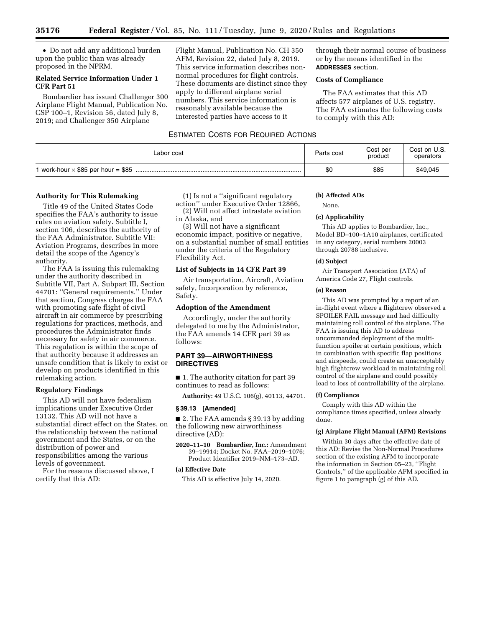• Do not add any additional burden upon the public than was already proposed in the NPRM.

#### **Related Service Information Under 1 CFR Part 51**

Bombardier has issued Challenger 300 Airplane Flight Manual, Publication No. CSP 100–1, Revision 56, dated July 8, 2019; and Challenger 350 Airplane

Flight Manual, Publication No. CH 350 AFM, Revision 22, dated July 8, 2019. This service information describes nonnormal procedures for flight controls. These documents are distinct since they apply to different airplane serial numbers. This service information is reasonably available because the interested parties have access to it

# ESTIMATED COSTS FOR REQUIRED ACTIONS

| Labor cost | Parts cost | Cost per<br>product | Cost on U.S.<br>operators |
|------------|------------|---------------------|---------------------------|
|            | \$0        | \$85                | \$49,045                  |

## **Authority for This Rulemaking**

Title 49 of the United States Code specifies the FAA's authority to issue rules on aviation safety. Subtitle I, section 106, describes the authority of the FAA Administrator. Subtitle VII: Aviation Programs, describes in more detail the scope of the Agency's authority.

The FAA is issuing this rulemaking under the authority described in Subtitle VII, Part A, Subpart III, Section 44701: ''General requirements.'' Under that section, Congress charges the FAA with promoting safe flight of civil aircraft in air commerce by prescribing regulations for practices, methods, and procedures the Administrator finds necessary for safety in air commerce. This regulation is within the scope of that authority because it addresses an unsafe condition that is likely to exist or develop on products identified in this rulemaking action.

# **Regulatory Findings**

This AD will not have federalism implications under Executive Order 13132. This AD will not have a substantial direct effect on the States, on the relationship between the national government and the States, or on the distribution of power and responsibilities among the various levels of government.

For the reasons discussed above, I certify that this AD:

(1) Is not a ''significant regulatory action'' under Executive Order 12866,

(2) Will not affect intrastate aviation in Alaska, and

(3) Will not have a significant economic impact, positive or negative, on a substantial number of small entities under the criteria of the Regulatory Flexibility Act.

#### **List of Subjects in 14 CFR Part 39**

Air transportation, Aircraft, Aviation safety, Incorporation by reference, Safety.

#### **Adoption of the Amendment**

Accordingly, under the authority delegated to me by the Administrator, the FAA amends 14 CFR part 39 as follows:

# **PART 39—AIRWORTHINESS DIRECTIVES**

■ 1. The authority citation for part 39 continues to read as follows:

**Authority:** 49 U.S.C. 106(g), 40113, 44701.

#### **§ 39.13 [Amended]**

■ 2. The FAA amends § 39.13 by adding the following new airworthiness directive (AD):

**2020–11–10 Bombardier, Inc.:** Amendment 39–19914; Docket No. FAA–2019–1076; Product Identifier 2019–NM–173–AD.

#### **(a) Effective Date**

This AD is effective July 14, 2020.

# **(b) Affected ADs**

**ADDRESSES** section. **Costs of Compliance** 

to comply with this AD:

None.

#### **(c) Applicability**

This AD applies to Bombardier, Inc., Model BD–100–1A10 airplanes, certificated in any category, serial numbers 20003 through 20788 inclusive.

through their normal course of business or by the means identified in the

The FAA estimates that this AD affects 577 airplanes of U.S. registry. The FAA estimates the following costs

#### **(d) Subject**

Air Transport Association (ATA) of America Code 27, Flight controls.

#### **(e) Reason**

This AD was prompted by a report of an in-flight event where a flightcrew observed a SPOILER FAIL message and had difficulty maintaining roll control of the airplane. The FAA is issuing this AD to address uncommanded deployment of the multifunction spoiler at certain positions, which in combination with specific flap positions and airspeeds, could create an unacceptably high flightcrew workload in maintaining roll control of the airplane and could possibly lead to loss of controllability of the airplane.

# **(f) Compliance**

Comply with this AD within the compliance times specified, unless already done.

#### **(g) Airplane Flight Manual (AFM) Revisions**

Within 30 days after the effective date of this AD: Revise the Non-Normal Procedures section of the existing AFM to incorporate the information in Section 05–23, ''Flight Controls,'' of the applicable AFM specified in figure 1 to paragraph (g) of this AD.